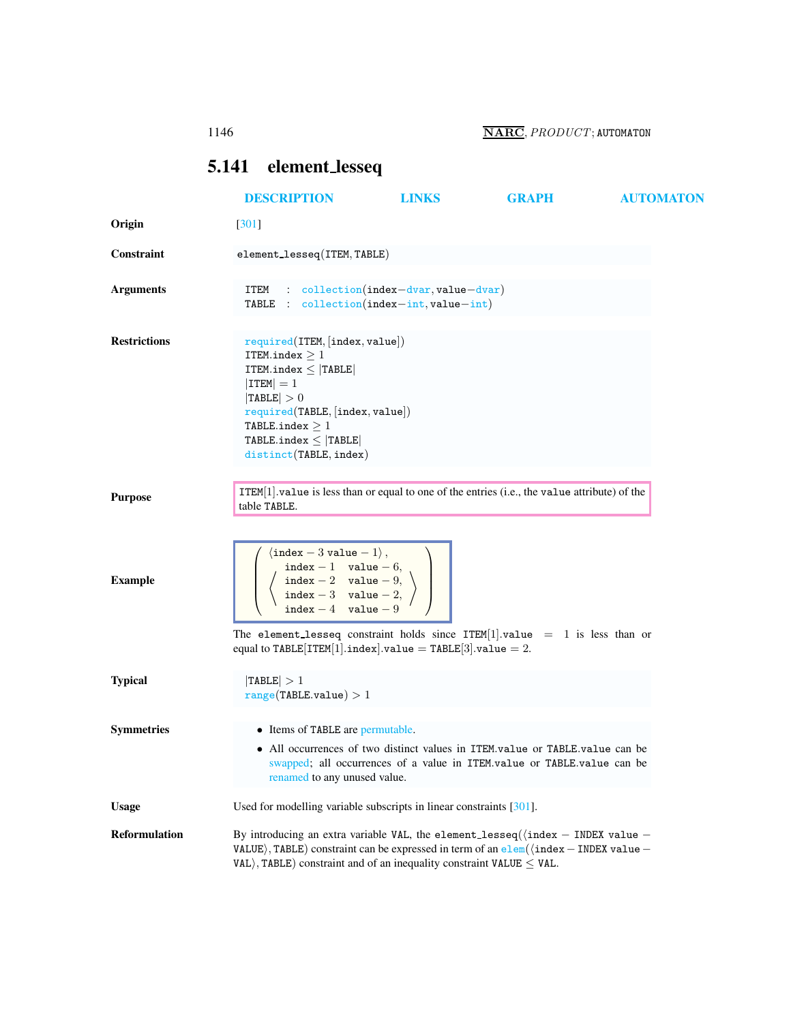## <span id="page-0-0"></span>5.141 element lesseq

|                      | <b>DESCRIPTION</b>                                                                                                                                                                                                                                                                                                                                                                                                                                                     | <b>LINKS</b> | <b>GRAPH</b> | <b>AUTOMATON</b> |
|----------------------|------------------------------------------------------------------------------------------------------------------------------------------------------------------------------------------------------------------------------------------------------------------------------------------------------------------------------------------------------------------------------------------------------------------------------------------------------------------------|--------------|--------------|------------------|
| Origin               | $[301]$                                                                                                                                                                                                                                                                                                                                                                                                                                                                |              |              |                  |
| <b>Constraint</b>    | element_lesseq(ITEM, TABLE)                                                                                                                                                                                                                                                                                                                                                                                                                                            |              |              |                  |
| <b>Arguments</b>     | $\therefore$ collection(index-dvar, value-dvar)<br>ITEM<br>TABLE : $\text{collection}(\text{index}-\text{int}, \text{value}-\text{int})$                                                                                                                                                                                                                                                                                                                               |              |              |                  |
| <b>Restrictions</b>  | required(ITER, [index, value])<br>ITEM.index $\geq 1$<br>ITEM.index $\leq$  TABLE <br>$ $ ITEM $  = 1$<br> TABLE  > 0<br>required(TABLE, [index, value])<br>TABLE.index $\geq 1$<br>TABLE.index $\leq$ TABLE<br>distinct(TABLE, index)                                                                                                                                                                                                                                 |              |              |                  |
| <b>Purpose</b>       | $ITEM[1].value$ is less than or equal to one of the entries (i.e., the value attribute) of the<br>table TABLE.                                                                                                                                                                                                                                                                                                                                                         |              |              |                  |
| <b>Example</b>       | $\langle \texttt{index} - 3 \text{ value} - 1 \rangle$ ,<br>$\left(\begin{array}{cc} \texttt{index} - 1 & \texttt{value} - 6, \\ \texttt{index} - 2 & \texttt{value} - 9, \\ \texttt{index} - 3 & \texttt{value} - 2, \end{array}\right)$<br>index $-4$ value $-9$<br>The element lesseq constraint holds since ITEM[1] value = 1 is less than or<br>equal to $\texttt{TABLE}[\texttt{ITEM}[1].\texttt{index}].\texttt{value} = \texttt{TABLE}[3].\texttt{value} = 2.$ |              |              |                  |
| <b>Typical</b>       | TABLE  > 1<br>range(TABLE.value) > 1                                                                                                                                                                                                                                                                                                                                                                                                                                   |              |              |                  |
| <b>Symmetries</b>    | • Items of TABLE are permutable.<br>• All occurrences of two distinct values in ITEM.value or TABLE.value can be<br>swapped; all occurrences of a value in ITEM.value or TABLE.value can be<br>renamed to any unused value.                                                                                                                                                                                                                                            |              |              |                  |
| <b>Usage</b>         | Used for modelling variable subscripts in linear constraints [301].                                                                                                                                                                                                                                                                                                                                                                                                    |              |              |                  |
| <b>Reformulation</b> | By introducing an extra variable VAL, the element lesseq( $\langle$ index - INDEX value -<br>VALUE), TABLE) constraint can be expressed in term of an $\frac{e1}{em}(\text{index} - \text{INDEX value} - \text{index})$<br>VAL), TABLE) constraint and of an inequality constraint VALUE $\leq$ VAL.                                                                                                                                                                   |              |              |                  |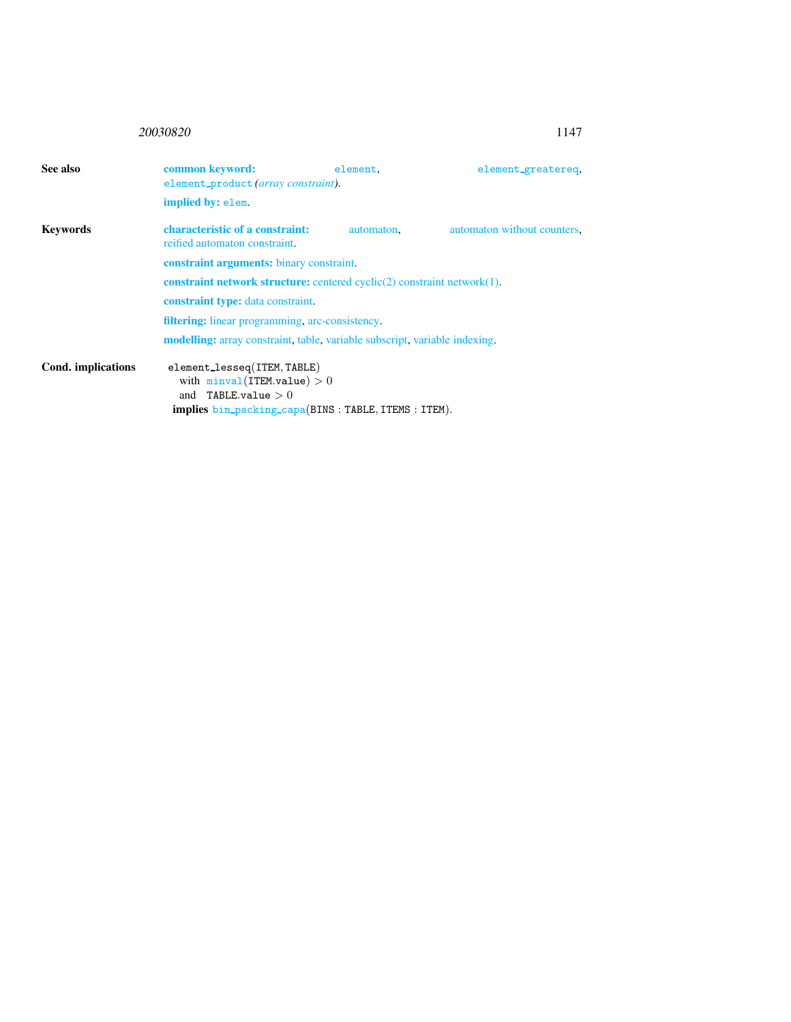## <sup>20030820</sup> 1147

<span id="page-1-0"></span>

| See also           | common keyword:<br>element_product(array constraint).                                 | element.   | element_greatereq,          |  |  |
|--------------------|---------------------------------------------------------------------------------------|------------|-----------------------------|--|--|
|                    | implied by: elem.                                                                     |            |                             |  |  |
| <b>Keywords</b>    | characteristic of a constraint:<br>reified automaton constraint.                      | automaton. | automaton without counters. |  |  |
|                    | <b>constraint arguments:</b> binary constraint.                                       |            |                             |  |  |
|                    | <b>constraint network structure:</b> centered cyclic $(2)$ constraint network $(1)$ . |            |                             |  |  |
|                    | <b>constraint type:</b> data constraint.                                              |            |                             |  |  |
|                    | <b>filtering:</b> linear programming, arc-consistency.                                |            |                             |  |  |
|                    | <b>modelling:</b> array constraint, table, variable subscript, variable indexing.     |            |                             |  |  |
| Cond. implications | element_lesseq(ITEM, TABLE)                                                           |            |                             |  |  |
|                    | with $minval(TEM.value) > 0$                                                          |            |                             |  |  |
|                    | and TABLE.value $>0$                                                                  |            |                             |  |  |
|                    | implies bin_packing_capa(BINS: TABLE, ITEMS: ITEM).                                   |            |                             |  |  |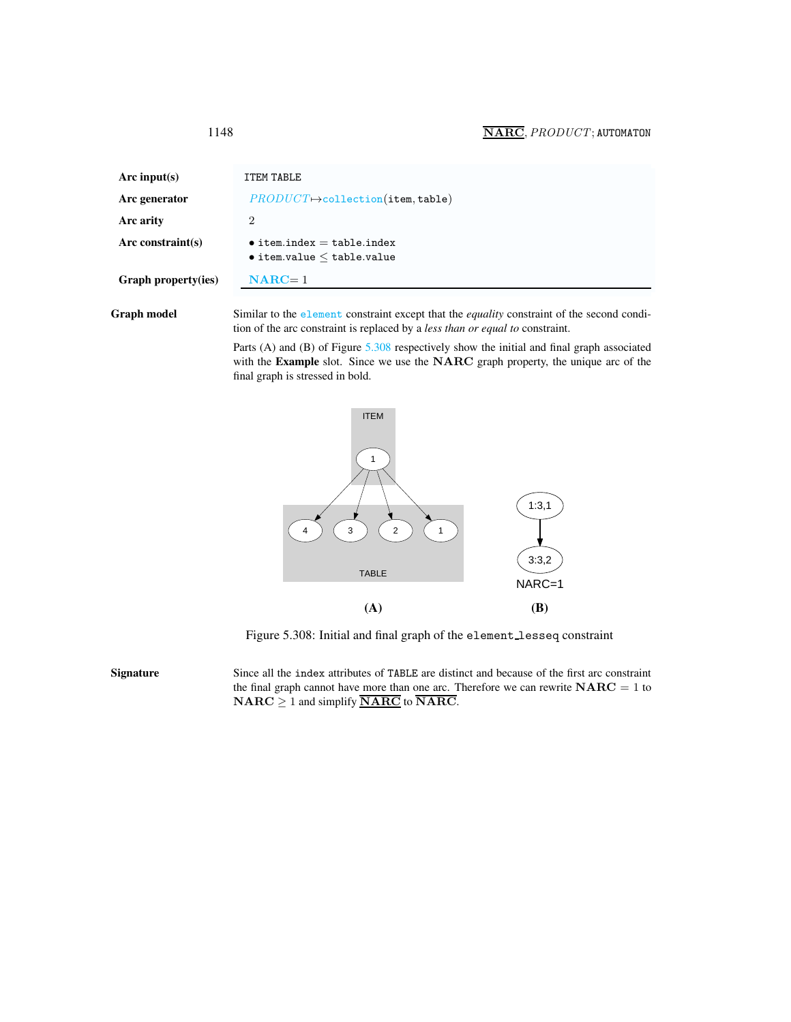<span id="page-2-0"></span>

| Arc input(s)         | ITEM TABLE                                                                    |
|----------------------|-------------------------------------------------------------------------------|
| Arc generator        | $PRODUCT \rightarrow collection(\texttt{item}, \texttt{table})$               |
| Arc arity            | 2                                                                             |
| Arc constraint $(s)$ | $\bullet$ item.index = table.index<br>$\bullet$ item.value $\leq$ table.value |
| Graph property(ies)  | $NARC = 1$                                                                    |

Graph model Similar to the element constraint except that the *equality* constraint of the second condition of the arc constraint is replaced by a *less than or equal to* constraint.

> Parts (A) and (B) of Figure [5.308](#page-2-1) respectively show the initial and final graph associated with the Example slot. Since we use the NARC graph property, the unique arc of the final graph is stressed in bold.



<span id="page-2-1"></span>Figure 5.308: Initial and final graph of the element lesseq constraint

Signature Since all the index attributes of TABLE are distinct and because of the first arc constraint the final graph cannot have more than one arc. Therefore we can rewrite  $NARC = 1$  to  $\mathbf{NARC} \geq 1$  and simplify  $\overline{\mathbf{NARC}}$  to  $\overline{\mathbf{NARC}}$ .